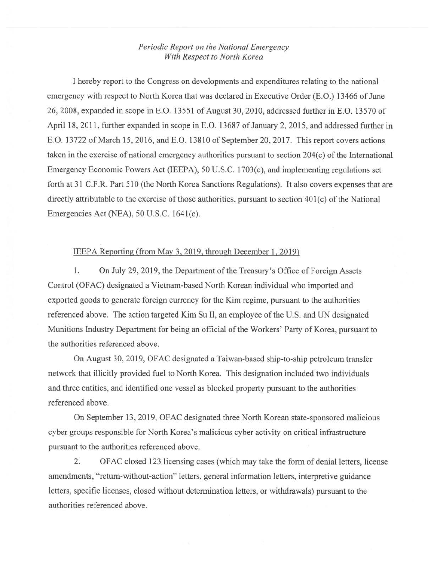## *Periodic Report on the National Emergency With Respect to North Korea*

I hereby report to the Congress on developments and expenditures relating to the national emergency with respect to North Korea that was declared in Executive Order (E.O.) 13466 of June 26,2008, expanded in scope in E.O. 13551 of August 30,2010, addressed further in E.O. 13570 of April 18, 2011, further expanded in scope in E.O. 13687 of January 2, 2015, and addressed further in E.O. 13722 of March 15, 2016, and E.O. 13810 of September 20, 2017. This report covers actions taken in the exercise of national emergency authorities pursuant to section 204(c) of the International Emergency Economic Powers Act (IEEPA), 50 U.S.C. 1703(c), and implementing regulations set forth at 31 C.F.R. Part 510 (the North Korea Sanctions Regulations). It also covers expenses that are directly attributable to the exercise of those authorities, pursuant to section 401(c) of the National Emergencies Act (NEA), 50 U.S.C. 164I(c).

## IEEPA Reporting (from May 3, 2019, through December I. 2019)

1. On July 29, 2019, the Department of the Treasury's Office of Foreign Assets Control (OFAC) designated a Vietnam-based North Korean individual who imported and exported goods to generate foreign currency for the Kim regime, pursuant to the authorities referenced above. The action targeted Kim Su 11, an employee of the U.S. and UN designated Munitions Industry Department for being an official of the Workers' Party of Korea, pursuant to the authorities referenced above.

On August 30, 2019, OFAC designated a Taiwan-based ship-to-ship petroleum transfer network that illicitly provided fuel to North Korea. This designation included two individuals and three entities, and identified one vessel as blocked property pursuant to the authorities referenced above.

On September 13, 2019, OFAC designated three North Korean state-sponsored malicious cyber groups responsible for North Korea's malicious cyber activity on critical infrastructure pursuant to the authorities referenced above.

2. OFAC closed 123 licensing cases (which may take the form of denial letters, license amendments, "return-without-action" letters, general information letters, interpretive guidance letters, specific licenses, closed without determination letters, or withdrawals) pursuant to the authorities referenced above.